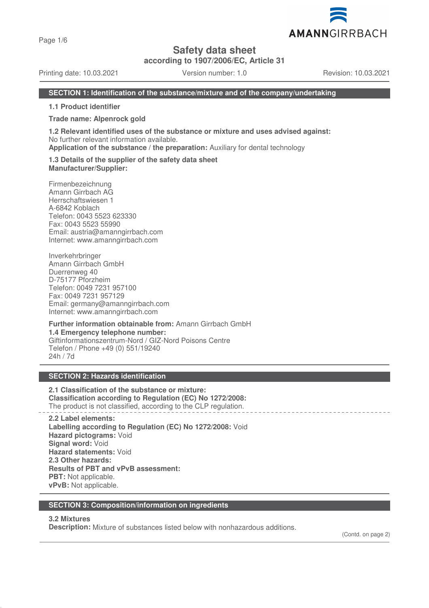Page 1/6

**Safety data sheet**

**according to 1907/2006/EC, Article 31**

Printing date: 10.03.2021 Version number: 1.0 Revision: 10.03.2021

AMANNGIRRBACH

#### **SECTION 1: Identification of the substance/mixture and of the company/undertaking**

**1.1 Product identifier**

#### **Trade name: Alpenrock gold**

**1.2 Relevant identified uses of the substance or mixture and uses advised against:** No further relevant information available.

**Application of the substance / the preparation:** Auxiliary for dental technology

#### **1.3 Details of the supplier of the safety data sheet Manufacturer/Supplier:**

Firmenbezeichnung Amann Girrbach AG Herrschaftswiesen 1 A-6842 Koblach Telefon: 0043 5523 623330 Fax: 0043 5523 55990 Email: austria@amanngirrbach.com Internet: www.amanngirrbach.com

Inverkehrbringer Amann Girrbach GmbH Duerrenweg 40 D-75177 Pforzheim Telefon: 0049 7231 957100 Fax: 0049 7231 957129 Email: germany@amanngirrbach.com Internet: www.amanngirrbach.com

**Further information obtainable from:** Amann Girrbach GmbH **1.4 Emergency telephone number:** Giftinformationszentrum-Nord / GIZ-Nord Poisons Centre Telefon / Phone +49 (0) 551/19240 24h / 7d

#### **SECTION 2: Hazards identification**

**2.1 Classification of the substance or mixture: Classification according to Regulation (EC) No 1272/2008:** The product is not classified, according to the CLP regulation.

**2.2 Label elements: Labelling according to Regulation (EC) No 1272/2008:** Void **Hazard pictograms:** Void **Signal word:** Void **Hazard statements:** Void **2.3 Other hazards: Results of PBT and vPvB assessment: PBT:** Not applicable. **vPvB:** Not applicable.

#### **SECTION 3: Composition/information on ingredients**

#### **3.2 Mixtures**

**Description:** Mixture of substances listed below with nonhazardous additions.

(Contd. on page 2)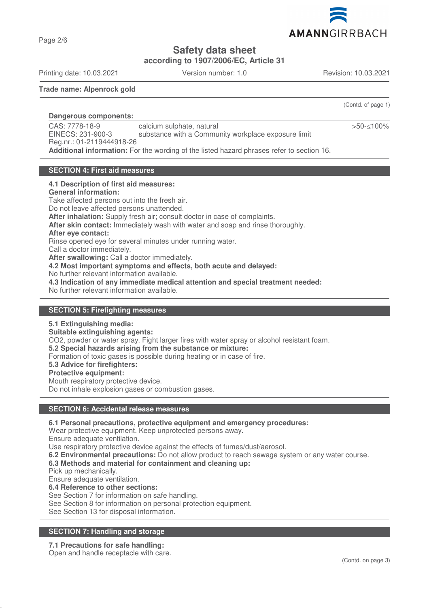

**Safety data sheet**

**according to 1907/2006/EC, Article 31**

Printing date: 10.03.2021 Version number: 1.0 Revision: 10.03.2021

Page 2/6

**Trade name: Alpenrock gold**

(Contd. of page 1)

>50-≤100%

**Dangerous components:**  CAS: 7778-18-9 EINECS: 231-900-3 Reg.nr.: 01-2119444918-26 calcium sulphate, natural substance with a Community workplace exposure limit **Additional information:** For the wording of the listed hazard phrases refer to section 16.

#### **SECTION 4: First aid measures**

#### **4.1 Description of first aid measures:**

**General information:**

Take affected persons out into the fresh air.

Do not leave affected persons unattended. **After inhalation:** Supply fresh air; consult doctor in case of complaints.

**After skin contact:** Immediately wash with water and soap and rinse thoroughly.

**After eye contact:**

Rinse opened eye for several minutes under running water.

Call a doctor immediately.

**After swallowing:** Call a doctor immediately.

**4.2 Most important symptoms and effects, both acute and delayed:**

No further relevant information available.

**4.3 Indication of any immediate medical attention and special treatment needed:**

No further relevant information available.

#### **SECTION 5: Firefighting measures**

#### **5.1 Extinguishing media:**

**Suitable extinguishing agents:**

CO2, powder or water spray. Fight larger fires with water spray or alcohol resistant foam.

**5.2 Special hazards arising from the substance or mixture:**

Formation of toxic gases is possible during heating or in case of fire.

**5.3 Advice for firefighters:**

#### **Protective equipment:**

Mouth respiratory protective device.

Do not inhale explosion gases or combustion gases.

## **SECTION 6: Accidental release measures**

**6.1 Personal precautions, protective equipment and emergency procedures:**

Wear protective equipment. Keep unprotected persons away.

Ensure adequate ventilation.

Use respiratory protective device against the effects of fumes/dust/aerosol.

**6.2 Environmental precautions:** Do not allow product to reach sewage system or any water course.

## **6.3 Methods and material for containment and cleaning up:**

Pick up mechanically.

Ensure adequate ventilation.

**6.4 Reference to other sections:**

See Section 7 for information on safe handling.

See Section 8 for information on personal protection equipment.

See Section 13 for disposal information.

## **SECTION 7: Handling and storage**

## **7.1 Precautions for safe handling:**

Open and handle receptacle with care.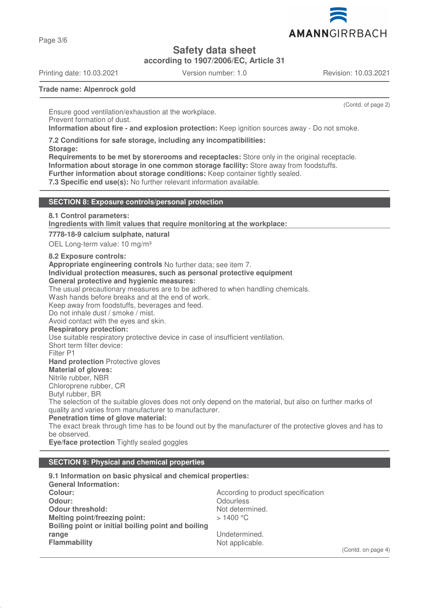AMANNGIRRBACH

**Safety data sheet**

**according to 1907/2006/EC, Article 31**

Printing date: 10.03.2021 Version number: 1.0 Revision: 10.03.2021

Page 3/6

(Contd. of page 2)

**Trade name: Alpenrock gold**

Ensure good ventilation/exhaustion at the workplace. Prevent formation of dust. **Information about fire - and explosion protection:** Keep ignition sources away - Do not smoke.

**7.2 Conditions for safe storage, including any incompatibilities:**

**Storage:**

**Requirements to be met by storerooms and receptacles:** Store only in the original receptacle. **Information about storage in one common storage facility:** Store away from foodstuffs. **Further information about storage conditions:** Keep container tightly sealed.

**7.3 Specific end use(s):** No further relevant information available.

#### **SECTION 8: Exposure controls/personal protection**

**8.1 Control parameters:**

**Ingredients with limit values that require monitoring at the workplace:** 

**7778-18-9 calcium sulphate, natural**

OEL Long-term value: 10 mg/m<sup>3</sup>

**8.2 Exposure controls:**

**Appropriate engineering controls** No further data; see item 7.

**Individual protection measures, such as personal protective equipment**

## **General protective and hygienic measures:**

The usual precautionary measures are to be adhered to when handling chemicals.

Wash hands before breaks and at the end of work.

Keep away from foodstuffs, beverages and feed.

Do not inhale dust / smoke / mist.

Avoid contact with the eyes and skin.

**Respiratory protection:**

Use suitable respiratory protective device in case of insufficient ventilation.

Short term filter device:

Filter P1

**Hand protection** Protective gloves

## **Material of gloves:**

Nitrile rubber, NBR

Chloroprene rubber, CR

Butyl rubber, BR

The selection of the suitable gloves does not only depend on the material, but also on further marks of quality and varies from manufacturer to manufacturer.

**Penetration time of glove material:**

The exact break through time has to be found out by the manufacturer of the protective gloves and has to be observed.

**Eye/face protection** Tightly sealed goggles

## **SECTION 9: Physical and chemical properties**

**9.1 Information on basic physical and chemical properties: General Information: Colour:** Colour: **According to product specification Odour:** Odourless<br> **Odour threshold:** Contact Contact Contact Contact Contact Contact Contact Contact Contact Contact Contact Conta<br>
Odour threshold: Contact Contact Contact Contact Contact Contact Contact Contact Contact **Odour threshold:**<br>
Melting point/freezing point:<br>
Melting point/freezing point:<br>
> 1400 °C **Melting point/freezing point: Boiling point or initial boiling point and boiling range** Undetermined.<br> **Flammability** Contract Contract Contract Contract Contract Contract Contract Contract Contract Contract Contra<br>
Not applicable. Not applicable.

(Contd. on page 4)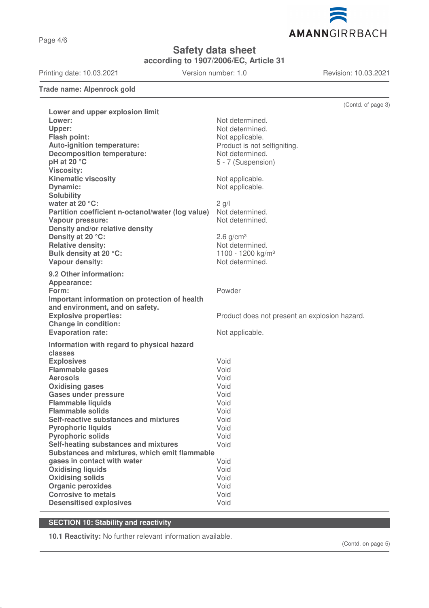Page 4/6

**Safety data sheet**

**according to 1907/2006/EC, Article 31**

Printing date: 10.03.2021 Version number: 1.0 Revision: 10.03.2021

AMANNGIRRBACH

**Trade name: Alpenrock gold**

|                                                     | (Contd. of page 3)                            |
|-----------------------------------------------------|-----------------------------------------------|
| Lower and upper explosion limit                     |                                               |
| Lower:                                              | Not determined.                               |
| Upper:                                              | Not determined.                               |
| <b>Flash point:</b>                                 | Not applicable.                               |
| <b>Auto-ignition temperature:</b>                   | Product is not selfigniting.                  |
| <b>Decomposition temperature:</b>                   | Not determined.                               |
| pH at 20 °C                                         | 5 - 7 (Suspension)                            |
| <b>Viscosity:</b><br><b>Kinematic viscosity</b>     | Not applicable.                               |
| <b>Dynamic:</b>                                     | Not applicable.                               |
| <b>Solubility</b>                                   |                                               |
| water at 20 °C:                                     | $2$ g/l                                       |
| Partition coefficient n-octanol/water (log value)   | Not determined.                               |
| <b>Vapour pressure:</b>                             | Not determined.                               |
| Density and/or relative density                     |                                               |
| Density at 20 °C:                                   | $2.6$ g/cm <sup>3</sup>                       |
| <b>Relative density:</b>                            | Not determined.                               |
| Bulk density at 20 °C:                              | 1100 - 1200 kg/m <sup>3</sup>                 |
| Vapour density:                                     | Not determined.                               |
| 9.2 Other information:                              |                                               |
| Appearance:                                         |                                               |
| Form:                                               | Powder                                        |
| Important information on protection of health       |                                               |
| and environment, and on safety.                     |                                               |
| <b>Explosive properties:</b>                        | Product does not present an explosion hazard. |
| <b>Change in condition:</b>                         |                                               |
| <b>Evaporation rate:</b>                            | Not applicable.                               |
| Information with regard to physical hazard          |                                               |
| classes                                             |                                               |
| <b>Explosives</b>                                   | Void                                          |
| <b>Flammable gases</b>                              | Void                                          |
| <b>Aerosols</b>                                     | Void                                          |
| <b>Oxidising gases</b>                              | Void                                          |
| <b>Gases under pressure</b>                         | Void                                          |
| <b>Flammable liquids</b><br><b>Flammable solids</b> | Void                                          |
| Self-reactive substances and mixtures               | Void<br>Void                                  |
| <b>Pyrophoric liquids</b>                           | Void                                          |
| <b>Pyrophoric solids</b>                            | Void                                          |
| Self-heating substances and mixtures                | Void                                          |
| Substances and mixtures, which emit flammable       |                                               |
| gases in contact with water                         | Void                                          |
| <b>Oxidising liquids</b>                            | Void                                          |
| <b>Oxidising solids</b>                             | Void                                          |
| <b>Organic peroxides</b>                            | Void                                          |
| <b>Corrosive to metals</b>                          | Void                                          |
| <b>Desensitised explosives</b>                      | Void                                          |

# **SECTION 10: Stability and reactivity**

**10.1 Reactivity:** No further relevant information available.

(Contd. on page 5)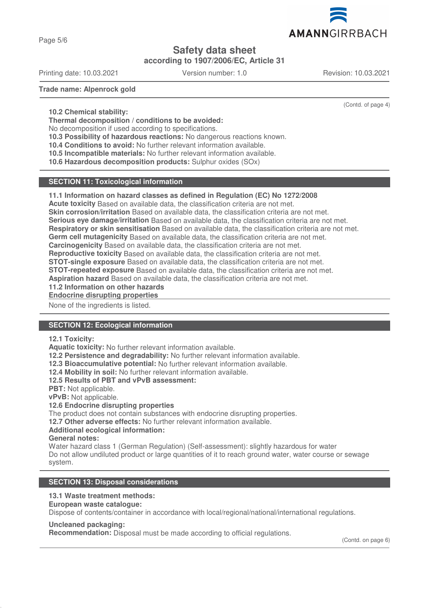

Page 5/6

# **Safety data sheet**

**according to 1907/2006/EC, Article 31**

Printing date: 10.03.2021 Version number: 1.0 Revision: 10.03.2021

(Contd. of page 4)

**Trade name: Alpenrock gold**

**10.2 Chemical stability:**

**Thermal decomposition / conditions to be avoided:**

No decomposition if used according to specifications.

**10.3 Possibility of hazardous reactions:** No dangerous reactions known.

**10.4 Conditions to avoid:** No further relevant information available.

**10.5 Incompatible materials:** No further relevant information available.

**10.6 Hazardous decomposition products:** Sulphur oxides (SOx)

## **SECTION 11: Toxicological information**

#### **11.1 Information on hazard classes as defined in Regulation (EC) No 1272/2008**

**Acute toxicity** Based on available data, the classification criteria are not met.

**Skin corrosion/irritation** Based on available data, the classification criteria are not met.

**Serious eye damage/irritation** Based on available data, the classification criteria are not met.

**Respiratory or skin sensitisation** Based on available data, the classification criteria are not met.

**Germ cell mutagenicity** Based on available data, the classification criteria are not met.

**Carcinogenicity** Based on available data, the classification criteria are not met.

**Reproductive toxicity** Based on available data, the classification criteria are not met.

**STOT-single exposure** Based on available data, the classification criteria are not met.

**STOT-repeated exposure** Based on available data, the classification criteria are not met.

**Aspiration hazard** Based on available data, the classification criteria are not met.

**11.2 Information on other hazards**

**Endocrine disrupting properties** 

None of the ingredients is listed.

## **SECTION 12: Ecological information**

#### **12.1 Toxicity:**

**Aquatic toxicity:** No further relevant information available.

**12.2 Persistence and degradability:** No further relevant information available.

**12.3 Bioaccumulative potential:** No further relevant information available.

**12.4 Mobility in soil:** No further relevant information available.

**12.5 Results of PBT and vPvB assessment:**

**PBT:** Not applicable.

**vPvB:** Not applicable.

## **12.6 Endocrine disrupting properties**

The product does not contain substances with endocrine disrupting properties.

**12.7 Other adverse effects:** No further relevant information available.

## **Additional ecological information:**

**General notes:**

Water hazard class 1 (German Regulation) (Self-assessment): slightly hazardous for water Do not allow undiluted product or large quantities of it to reach ground water, water course or sewage system.

## **SECTION 13: Disposal considerations**

## **13.1 Waste treatment methods:**

**European waste catalogue:**

Dispose of contents/container in accordance with local/regional/national/international regulations.

#### **Uncleaned packaging:**

**Recommendation:** Disposal must be made according to official regulations.